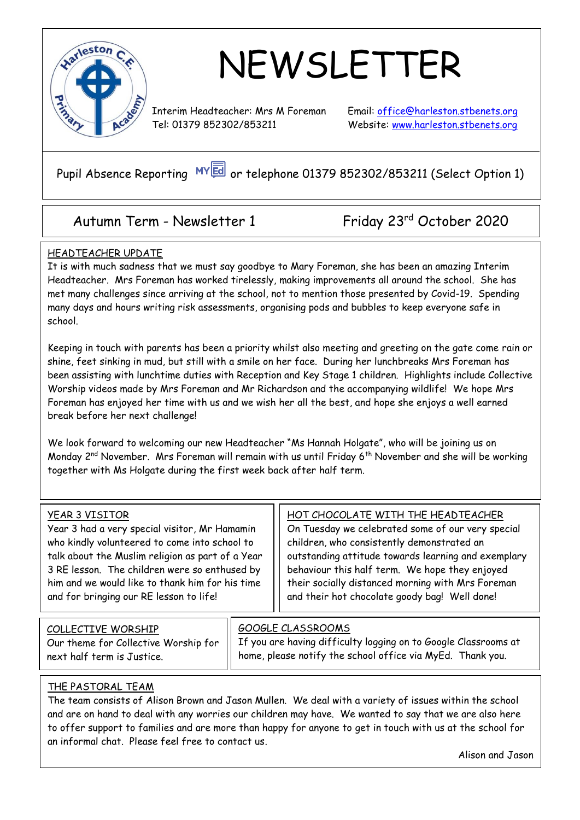

## NEWSLETTER

Interim Headteacher: Mrs M Foreman Email: [office@harleston.s](mailto:office@harleston.)tbenets.org Tel: 01379 852302/853211 Website: [www.harleston.stbenets.org](http://www.harleston.stbenets.org/)

Pupil Absence Reporting MY a or telephone 01379 852302/853211 (Select Option 1)

### Autumn Term - Newsletter 1 Friday 23rd October 2020

#### HEADTEACHER UPDATE

It is with much sadness that we must say goodbye to Mary Foreman, she has been an amazing Interim Headteacher. Mrs Foreman has worked tirelessly, making improvements all around the school. She has met many challenges since arriving at the school, not to mention those presented by Covid-19. Spending many days and hours writing risk assessments, organising pods and bubbles to keep everyone safe in school.

Keeping in touch with parents has been a priority whilst also meeting and greeting on the gate come rain or shine, feet sinking in mud, but still with a smile on her face. During her lunchbreaks Mrs Foreman has been assisting with lunchtime duties with Reception and Key Stage 1 children. Highlights include Collective Worship videos made by Mrs Foreman and Mr Richardson and the accompanying wildlife! We hope Mrs Foreman has enjoyed her time with us and we wish her all the best, and hope she enjoys a well earned break before her next challenge!

We look forward to welcoming our new Headteacher "Ms Hannah Holgate", who will be joining us on Monday 2<sup>nd</sup> November. Mrs Foreman will remain with us until Friday 6<sup>th</sup> November and she will be working together with Ms Holgate during the first week back after half term.

#### YEAR 3 VISITOR

Year 3 had a very special visitor, Mr Hamamin who kindly volunteered to come into school to talk about the Muslim religion as part of a Year 3 RE lesson. The children were so enthused by him and we would like to thank him for his time and for bringing our RE lesson to life!

HOT CHOCOLATE WITH THE HEADTEACHER

On Tuesday we celebrated some of our very special children, who consistently demonstrated an outstanding attitude towards learning and exemplary behaviour this half term. We hope they enjoyed their socially distanced morning with Mrs Foreman and their hot chocolate goody bag! Well done!

| COLLECTIVE WORSHIP<br>Our theme for Collective Worship for<br>next half term is Justice. | 600GLE CLASSROOMS<br>$\left\  \begin{array}{l} \overline{\text{If you are having difficulty logging on to Google Classrooms at} \ \text{home, please notify the school office via MyEd.} \end{array} \right\ $ |
|------------------------------------------------------------------------------------------|----------------------------------------------------------------------------------------------------------------------------------------------------------------------------------------------------------------|
|------------------------------------------------------------------------------------------|----------------------------------------------------------------------------------------------------------------------------------------------------------------------------------------------------------------|

#### THE PASTORAL TEAM

The team consists of Alison Brown and Jason Mullen. We deal with a variety of issues within the school and are on hand to deal with any worries our children may have. We wanted to say that we are also here to offer support to families and are more than happy for anyone to get in touch with us at the school for an informal chat. Please feel free to contact us.

Alison and Jason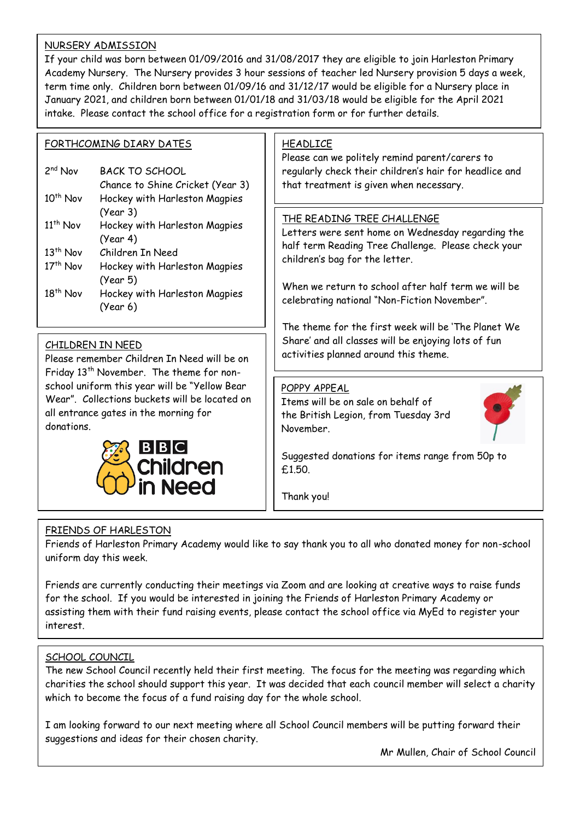#### NURSERY ADMISSION

If your child was born between 01/09/2016 and 31/08/2017 they are eligible to join Harleston Primary Academy Nursery. The Nursery provides 3 hour sessions of teacher led Nursery provision 5 days a week, term time only. Children born between 01/09/16 and 31/12/17 would be eligible for a Nursery place in January 2021, and children born between 01/01/18 and 31/03/18 would be eligible for the April 2021 intake. Please contact the school office for a registration form or for further details.

#### FORTHCOMING DIARY DATES

| $2nd$ Nov            | BACK TO SCHOOL                   |
|----------------------|----------------------------------|
|                      | Chance to Shine Cricket (Year 3) |
| $10^{th}$ Nov        | Hockey with Harleston Magpies    |
|                      | (Year 3)                         |
| 11 <sup>th</sup> Nov | Hockey with Harleston Magpies    |
|                      | (Year 4)                         |
| 13 <sup>th</sup> Nov | Children In Need                 |
| 17 <sup>th</sup> Nov | Hockey with Harleston Magpies    |
|                      | (Year 5)                         |
| 18 <sup>th</sup> Nov | Hockey with Harleston Magpies    |
|                      | (Year 6)                         |
|                      |                                  |

#### CHILDREN IN NEED

Please remember Children In Need will be on Friday 13<sup>th</sup> November. The theme for nonschool uniform this year will be "Yellow Bear Wear". Collections buckets will be located on all entrance gates in the morning for donations.



#### HEADLICE

Please can we politely remind parent/carers to regularly check their children's hair for headlice and that treatment is given when necessary.

#### THE READING TREE CHALLENGE

Letters were sent home on Wednesday regarding the half term Reading Tree Challenge. Please check your children's bag for the letter.

When we return to school after half term we will be celebrating national "Non-Fiction November".

The theme for the first week will be 'The Planet We Share' and all classes will be enjoying lots of fun activities planned around this theme.

#### POPPY APPEAL

Items will be on sale on behalf of the British Legion, from Tuesday 3rd November.



Suggested donations for items range from 50p to £1.50.

Thank you!

#### FRIENDS OF HARLESTON

Friends of Harleston Primary Academy would like to say thank you to all who donated money for non-school uniform day this week.

Friends are currently conducting their meetings via Zoom and are looking at creative ways to raise funds for the school. If you would be interested in joining the Friends of Harleston Primary Academy or assisting them with their fund raising events, please contact the school office via MyEd to register your interest.

#### SCHOOL COUNCIL

The new School Council recently held their first meeting. The focus for the meeting was regarding which charities the school should support this year. It was decided that each council member will select a charity which to become the focus of a fund raising day for the whole school.

I am looking forward to our next meeting where all School Council members will be putting forward their suggestions and ideas for their chosen charity.

Mr Mullen, Chair of School Council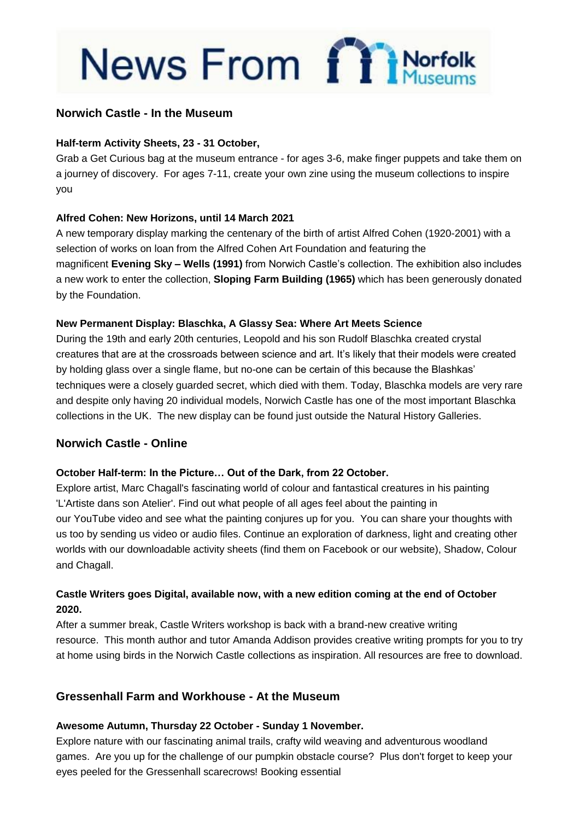# News From finder

#### **Norwich Castle - In the Museum**

#### **Half-term Activity Sheets, 23 - 31 October,**

Grab a Get Curious bag at the museum entrance - for ages 3-6, make finger puppets and take them on a journey of discovery. For ages 7-11, create your own zine using the museum collections to inspire you

#### **Alfred Cohen: New Horizons, until 14 March 2021**

A new temporary display marking the centenary of the birth of artist Alfred Cohen (1920-2001) with a selection of works on loan from the Alfred Cohen Art Foundation and featuring the magnificent **Evening Sky – Wells (1991)** from Norwich Castle's collection. The exhibition also includes a new work to enter the collection, **Sloping Farm Building (1965)** which has been generously donated by the Foundation.

#### **New Permanent Display: Blaschka, A Glassy Sea: Where Art Meets Science**

During the 19th and early 20th centuries, Leopold and his son Rudolf Blaschka created crystal creatures that are at the crossroads between science and art. It's likely that their models were created by holding glass over a single flame, but no-one can be certain of this because the Blashkas' techniques were a closely guarded secret, which died with them. Today, Blaschka models are very rare and despite only having 20 individual models, Norwich Castle has one of the most important Blaschka collections in the UK. The new display can be found just outside the Natural History Galleries.

#### **Norwich Castle - Online**

#### **October Half-term: In the Picture… Out of the Dark, from 22 October.**

Explore artist, Marc Chagall's fascinating world of colour and fantastical creatures in his painting 'L'Artiste dans son Atelier'. Find out what people of all ages feel about the painting in our YouTube video and see what the painting conjures up for you. You can share your thoughts with us too by sending us video or audio files. Continue an exploration of darkness, light and creating other worlds with our downloadable activity sheets (find them on [Facebook](https://www.norfolk.gov.uk/sitecore%20modules/Web/EXM/RedirectUrlPage.aspx?ec_eq=u3fyNukQvC2kXduD93xOLJT32C9eURdaImXmEy6BaziMhMvKsCC2ZgReIDk0bFYxVuCiXSqZVIdQ4aBDXil6yfR3RCgBLGxsAsBLGKC6YtFDnG2sCr%2bEL4LFS%2bdGJTzo5cjd%2bDONnUJOKGBQtSFX4BaT60VEBRZAoZrvrgWfBXsKUNYnEP%2fkflHGyKpTKjkqjzo1w8Ej%2fAyaz3KfPNgBtnAodRg%2foomtNW3q4nmuDp8QvuM6a5Yb5wJntRThl3FUrFQW7%2fHz8F97YIUItzrV6sjCnfr6y6nmVBchrAmGD3hbFWr1iJhwVniPCqzBDtR2vlQarJvH3C2IUDrqKS9poaCxQb8JYrpf2BIijRmkldY%3d) or our [website\)](https://www.norfolk.gov.uk/sitecore%20modules/Web/EXM/RedirectUrlPage.aspx?ec_eq=tMsHq8S5dTrGIM9FXu9yqTl9vGHmRcpcSdi1RB4lpXUhUB7fvV%2bGl4z34B%2byyaYncxAy5gOdl89j3lNz8jLUcy6%2bzn2TfEBx7Eic1IzU89zop4MqbF%2bu0TGuh%2fkucK6q0cGeDFZ1T7vx4KvP4n1n3XyPPgnWlE8J5GSuiN7yIdigxWrg4CNuDQIXfW3PwT2hAJj9rJaNEXpf8aC1rkFBhAZyfco3DToZ7HKTE1QkLpH58rj2p7Bku0KPTmqZTiU1jsC11QDC493E6%2fmZNYAyxevMENQq6szr1Q3ZW%2b2HIPg%2bsrBoM2P5VzKUfRbm7TJTEY3Rim6y913nTQEmV8lWiVmQZNG%2by5SKAAuugRqgeF%2foFXNUxDZkNGO%2bC0ZYtCTBUJ3uGuiZbrfI4AfmFIl5Hg%3d%3d), Shadow, Colour and Chagall.

#### **Castle Writers goes Digital, available now, with a new edition coming at the end of October 2020.**

After a summer break, Castle Writers workshop is back with a brand-new creative writing resource. This month author and tutor Amanda Addison provides creative writing prompts for you to try at home using birds in the Norwich Castle collections as inspiration. All resources are free to [download.](https://www.norfolk.gov.uk/sitecore%20modules/Web/EXM/RedirectUrlPage.aspx?ec_eq=%2f69SCH0EDo0oSyY%2bQ1PIR11ItY6NTd6EblckLlwfRUpXiGMTlmJ4xKHDtdRjZj%2fZjjCx9NXTmqB3N2%2bqE8megjk1cbY0Z6Vs41TgMRRhOfrCbEA7jcdP%2bPosSCjLNGQQlTadqEaqp6cDZxCNViUH%2boyZzH9DHAsL%2bLzLbIWkqj6AsKXkq0eGkP5XTbRHjHzXPweiY28C%2fUaUbI6zppiAsKiSEq1jGUvUYs0e6sCmA0dNy7GVBF9QrYW%2bXsKN%2fS8WgztB3hx9tDF%2fmnBNx6WkSqQChxaUWzucGJKNH3dgMLntQpYXouSJjjB%2b9T1vVZjP9r88Rs1M9%2f%2b20GVU9oiVIFT7eZT7gO4ijPf92FiwudkiUJILY%2fAWDA2ReBRNuTuazXTQ5q94yAgPXvFOXMmkY1vGMzATw4LJCdreHv0DnYg%3d)

#### **Gressenhall Farm and Workhouse - At the Museum**

#### **Awesome Autumn, Thursday 22 October - Sunday 1 November.**

Explore nature with our fascinating animal trails, crafty wild weaving and adventurous woodland games. Are you up for the challenge of our pumpkin obstacle course? Plus don't forget to keep your eyes peeled for the Gressenhall scarecrows! Booking essential